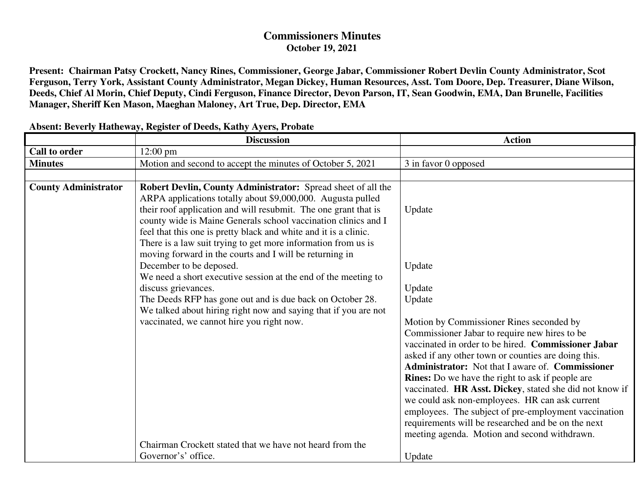## **Commissioners Minutes October 19, 2021**

**Present: Chairman Patsy Crockett, Nancy Rines, Commissioner, George Jabar, Commissioner Robert Devlin County Administrator, Scot Ferguson, Terry York, Assistant County Administrator, Megan Dickey, Human Resources, Asst. Tom Doore, Dep. Treasurer, Diane Wilson, Deeds, Chief Al Morin, Chief Deputy, Cindi Ferguson, Finance Director, Devon Parson, IT, Sean Goodwin, EMA, Dan Brunelle, Facilities Manager, Sheriff Ken Mason, Maeghan Maloney, Art True, Dep. Director, EMA** 

|                             | <b>Discussion</b>                                                                                                                                                                                                                                                                                                                                                                                                                                                                                                                                                                                                                                                                                                                                                 | <b>Action</b>                                                                                                                                                                                                                                                                                       |
|-----------------------------|-------------------------------------------------------------------------------------------------------------------------------------------------------------------------------------------------------------------------------------------------------------------------------------------------------------------------------------------------------------------------------------------------------------------------------------------------------------------------------------------------------------------------------------------------------------------------------------------------------------------------------------------------------------------------------------------------------------------------------------------------------------------|-----------------------------------------------------------------------------------------------------------------------------------------------------------------------------------------------------------------------------------------------------------------------------------------------------|
| <b>Call to order</b>        | $12:00 \text{ pm}$                                                                                                                                                                                                                                                                                                                                                                                                                                                                                                                                                                                                                                                                                                                                                |                                                                                                                                                                                                                                                                                                     |
| <b>Minutes</b>              | Motion and second to accept the minutes of October 5, 2021                                                                                                                                                                                                                                                                                                                                                                                                                                                                                                                                                                                                                                                                                                        | 3 in favor 0 opposed                                                                                                                                                                                                                                                                                |
|                             |                                                                                                                                                                                                                                                                                                                                                                                                                                                                                                                                                                                                                                                                                                                                                                   |                                                                                                                                                                                                                                                                                                     |
| <b>County Administrator</b> | Robert Devlin, County Administrator: Spread sheet of all the<br>ARPA applications totally about \$9,000,000. Augusta pulled<br>their roof application and will resubmit. The one grant that is<br>county wide is Maine Generals school vaccination clinics and I<br>feel that this one is pretty black and white and it is a clinic.<br>There is a law suit trying to get more information from us is<br>moving forward in the courts and I will be returning in<br>December to be deposed.<br>We need a short executive session at the end of the meeting to<br>discuss grievances.<br>The Deeds RFP has gone out and is due back on October 28.<br>We talked about hiring right now and saying that if you are not<br>vaccinated, we cannot hire you right now. | Update<br>Update<br>Update<br>Update<br>Motion by Commissioner Rines seconded by<br>Commissioner Jabar to require new hires to be<br>vaccinated in order to be hired. Commissioner Jabar<br>asked if any other town or counties are doing this.<br>Administrator: Not that I aware of. Commissioner |
|                             |                                                                                                                                                                                                                                                                                                                                                                                                                                                                                                                                                                                                                                                                                                                                                                   | <b>Rines:</b> Do we have the right to ask if people are                                                                                                                                                                                                                                             |
|                             |                                                                                                                                                                                                                                                                                                                                                                                                                                                                                                                                                                                                                                                                                                                                                                   | vaccinated. HR Asst. Dickey, stated she did not know if<br>we could ask non-employees. HR can ask current                                                                                                                                                                                           |
|                             |                                                                                                                                                                                                                                                                                                                                                                                                                                                                                                                                                                                                                                                                                                                                                                   | employees. The subject of pre-employment vaccination                                                                                                                                                                                                                                                |
|                             |                                                                                                                                                                                                                                                                                                                                                                                                                                                                                                                                                                                                                                                                                                                                                                   | requirements will be researched and be on the next                                                                                                                                                                                                                                                  |
|                             |                                                                                                                                                                                                                                                                                                                                                                                                                                                                                                                                                                                                                                                                                                                                                                   | meeting agenda. Motion and second withdrawn.                                                                                                                                                                                                                                                        |
|                             | Chairman Crockett stated that we have not heard from the                                                                                                                                                                                                                                                                                                                                                                                                                                                                                                                                                                                                                                                                                                          |                                                                                                                                                                                                                                                                                                     |
|                             | Governor's' office.                                                                                                                                                                                                                                                                                                                                                                                                                                                                                                                                                                                                                                                                                                                                               | Update                                                                                                                                                                                                                                                                                              |

## **Absent: Beverly Hatheway, Register of Deeds, Kathy Ayers, Probate**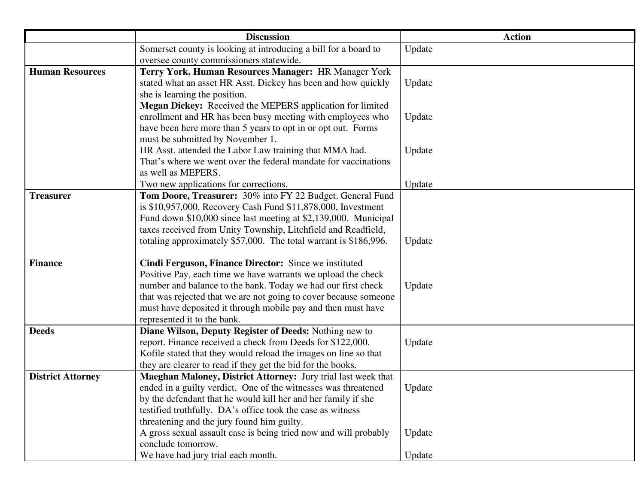|                          | <b>Discussion</b>                                                | <b>Action</b> |
|--------------------------|------------------------------------------------------------------|---------------|
|                          | Somerset county is looking at introducing a bill for a board to  | Update        |
|                          | oversee county commissioners statewide.                          |               |
| <b>Human Resources</b>   | Terry York, Human Resources Manager: HR Manager York             |               |
|                          | stated what an asset HR Asst. Dickey has been and how quickly    | Update        |
|                          | she is learning the position.                                    |               |
|                          | Megan Dickey: Received the MEPERS application for limited        |               |
|                          | enrollment and HR has been busy meeting with employees who       | Update        |
|                          | have been here more than 5 years to opt in or opt out. Forms     |               |
|                          | must be submitted by November 1.                                 |               |
|                          | HR Asst. attended the Labor Law training that MMA had.           | Update        |
|                          | That's where we went over the federal mandate for vaccinations   |               |
|                          | as well as MEPERS.                                               |               |
|                          | Two new applications for corrections.                            | Update        |
| <b>Treasurer</b>         | Tom Doore, Treasurer: 30% into FY 22 Budget. General Fund        |               |
|                          | is \$10,957,000, Recovery Cash Fund \$11,878,000, Investment     |               |
|                          | Fund down \$10,000 since last meeting at \$2,139,000. Municipal  |               |
|                          | taxes received from Unity Township, Litchfield and Readfield,    |               |
|                          | totaling approximately \$57,000. The total warrant is \$186,996. | Update        |
| <b>Finance</b>           | Cindi Ferguson, Finance Director: Since we instituted            |               |
|                          | Positive Pay, each time we have warrants we upload the check     |               |
|                          | number and balance to the bank. Today we had our first check     | Update        |
|                          | that was rejected that we are not going to cover because someone |               |
|                          | must have deposited it through mobile pay and then must have     |               |
|                          | represented it to the bank.                                      |               |
| <b>Deeds</b>             | Diane Wilson, Deputy Register of Deeds: Nothing new to           |               |
|                          | report. Finance received a check from Deeds for \$122,000.       | Update        |
|                          | Kofile stated that they would reload the images on line so that  |               |
|                          | they are clearer to read if they get the bid for the books.      |               |
| <b>District Attorney</b> | Maeghan Maloney, District Attorney: Jury trial last week that    |               |
|                          | ended in a guilty verdict. One of the witnesses was threatened   | Update        |
|                          | by the defendant that he would kill her and her family if she    |               |
|                          | testified truthfully. DA's office took the case as witness       |               |
|                          | threatening and the jury found him guilty.                       |               |
|                          | A gross sexual assault case is being tried now and will probably | Update        |
|                          | conclude tomorrow.                                               |               |
|                          | We have had jury trial each month.                               | Update        |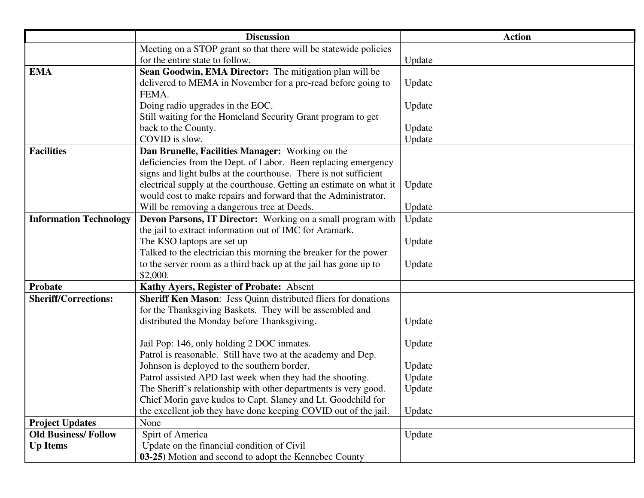|                               | <b>Discussion</b>                                                                                                      | <b>Action</b> |
|-------------------------------|------------------------------------------------------------------------------------------------------------------------|---------------|
|                               | Meeting on a STOP grant so that there will be statewide policies                                                       |               |
|                               | for the entire state to follow.                                                                                        | Update        |
| <b>EMA</b>                    | Sean Goodwin, EMA Director: The mitigation plan will be                                                                |               |
|                               | delivered to MEMA in November for a pre-read before going to                                                           | Update        |
|                               | FEMA.                                                                                                                  |               |
|                               | Doing radio upgrades in the EOC.                                                                                       | Update        |
|                               | Still waiting for the Homeland Security Grant program to get                                                           |               |
|                               | back to the County.                                                                                                    | Update        |
|                               | COVID is slow.                                                                                                         | Update        |
| <b>Facilities</b>             | Dan Brunelle, Facilities Manager: Working on the                                                                       |               |
|                               | deficiencies from the Dept. of Labor. Been replacing emergency                                                         |               |
|                               | signs and light bulbs at the courthouse. There is not sufficient                                                       |               |
|                               | electrical supply at the courthouse. Getting an estimate on what it                                                    | Update        |
|                               | would cost to make repairs and forward that the Administrator.                                                         |               |
|                               | Will be removing a dangerous tree at Deeds.                                                                            | Update        |
| <b>Information Technology</b> | Devon Parsons, IT Director: Working on a small program with<br>the jail to extract information out of IMC for Aramark. | Update        |
|                               | The KSO laptops are set up                                                                                             | Update        |
|                               | Talked to the electrician this morning the breaker for the power                                                       |               |
|                               | to the server room as a third back up at the jail has gone up to                                                       | Update        |
|                               | \$2,000.                                                                                                               |               |
| Probate                       | Kathy Ayers, Register of Probate: Absent                                                                               |               |
| <b>Sheriff/Corrections:</b>   | Sheriff Ken Mason: Jess Quinn distributed fliers for donations                                                         |               |
|                               | for the Thanksgiving Baskets. They will be assembled and                                                               |               |
|                               | distributed the Monday before Thanksgiving.                                                                            | Update        |
|                               |                                                                                                                        |               |
|                               | Jail Pop: 146, only holding 2 DOC inmates.                                                                             | Update        |
|                               | Patrol is reasonable. Still have two at the academy and Dep.                                                           |               |
|                               | Johnson is deployed to the southern border.                                                                            | Update        |
|                               | Patrol assisted APD last week when they had the shooting.                                                              | Update        |
|                               | The Sheriff's relationship with other departments is very good.                                                        | Update        |
|                               | Chief Morin gave kudos to Capt. Slaney and Lt. Goodchild for                                                           |               |
|                               | the excellent job they have done keeping COVID out of the jail.                                                        | Update        |
| <b>Project Updates</b>        | None                                                                                                                   |               |
| <b>Old Business/Follow</b>    | Spirt of America                                                                                                       | Update        |
| <b>Up Items</b>               | Update on the financial condition of Civil                                                                             |               |
|                               | 03-25) Motion and second to adopt the Kennebec County                                                                  |               |